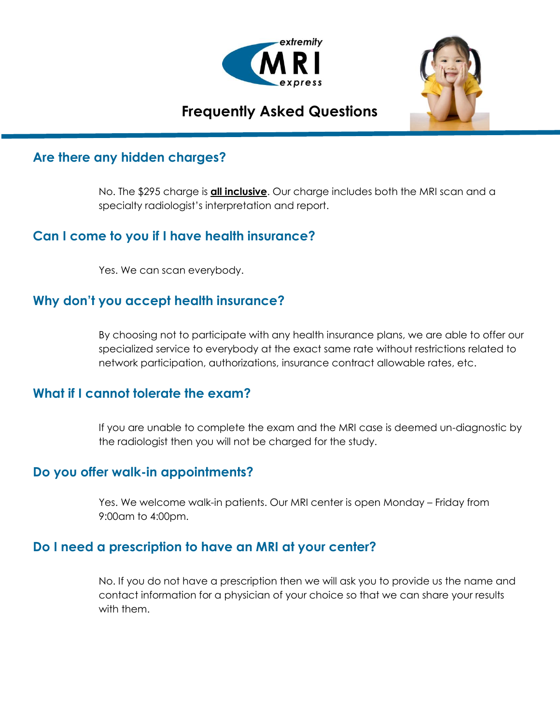



# **Frequently Asked Questions** l

## **Are there any hidden charges?**

No. The \$295 charge is **all inclusive**. Our charge includes both the MRI scan and a specialty radiologist's interpretation and report.

# **Can I come to you if I have health insurance?**

Yes. We can scan everybody.

## **Why don't you accept health insurance?**

By choosing not to participate with any health insurance plans, we are able to offer our specialized service to everybody at the exact same rate without restrictions related to network participation, authorizations, insurance contract allowable rates, etc.

#### **What if I cannot tolerate the exam?**

If you are unable to complete the exam and the MRI case is deemed un-diagnostic by the radiologist then you will not be charged for the study.

#### **Do you offer walk-in appointments?**

Yes. We welcome walk-in patients. Our MRI center is open Monday – Friday from 9:00am to 4:00pm.

#### **Do I need a prescription to have an MRI at your center?**

No. If you do not have a prescription then we will ask you to provide us the name and contact information for a physician of your choice so that we can share your results with them.